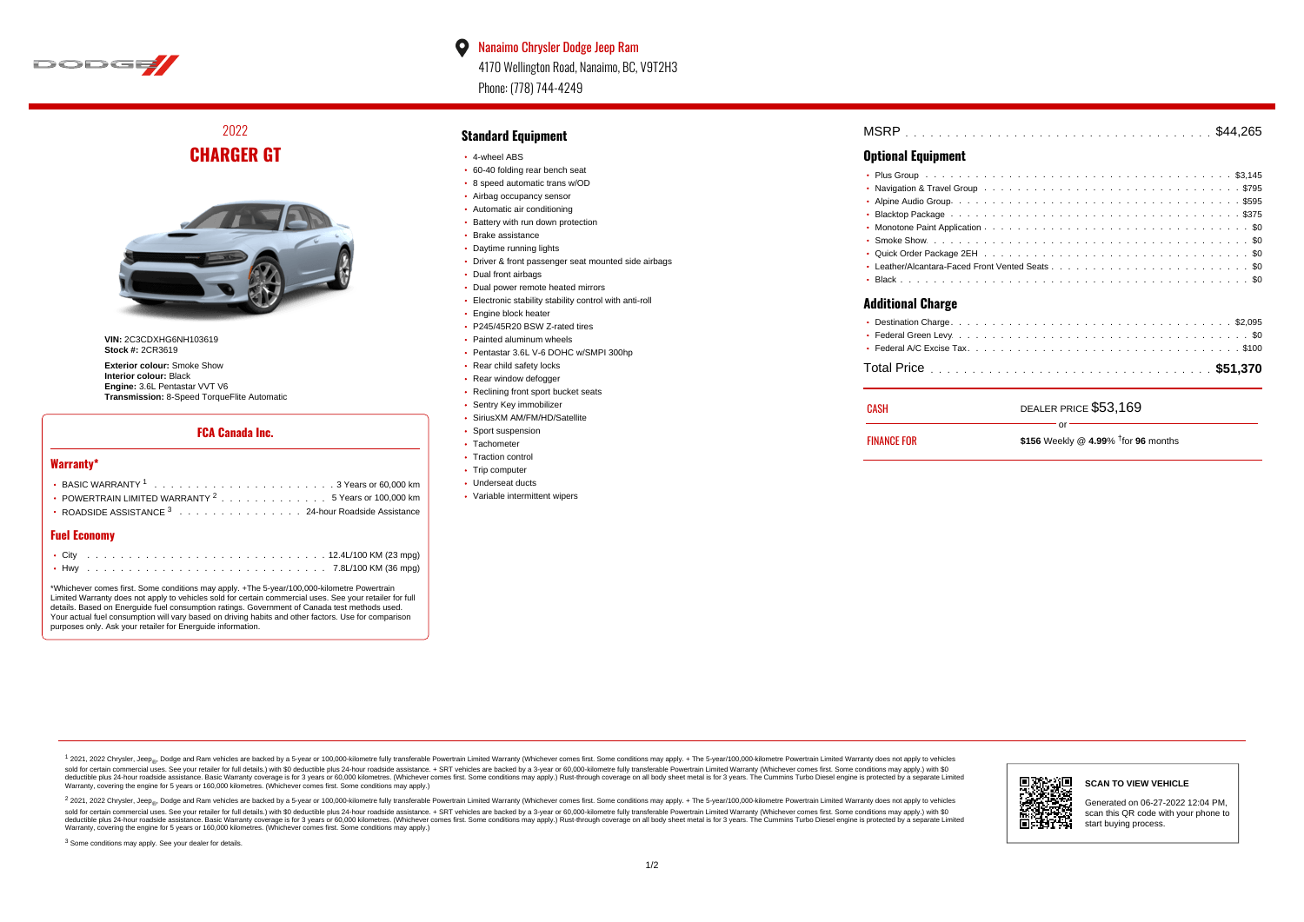

 $\bullet$ Nanaimo Chrysler Dodge Jeep Ram 4170 Wellington Road, Nanaimo, BC, V9T2H3 Phone: (778) 744-4249

# 2022 **CHARGER GT**



**VIN:** 2C3CDXHG6NH103619 **Stock #:** 2CR3619

**Exterior colour:** Smoke Show **Interior colour:** Black **Engine:** 3.6L Pentastar VVT V6 **Transmission:** 8-Speed TorqueFlite Automatic

#### **FCA Canada Inc.**

#### **Warranty\***

| • POWERTRAIN LIMITED WARRANTY $2, \ldots, \ldots, \ldots, \ldots, 5$ Years or 100.000 km |  |
|------------------------------------------------------------------------------------------|--|
| • ROADSIDE ASSISTANCE 3 24-hour Roadside Assistance                                      |  |

#### **Fuel Economy**

\*Whichever comes first. Some conditions may apply. +The 5-year/100,000-kilometre Powertrain Limited Warranty does not apply to vehicles sold for certain commercial uses. See your retailer for full details. Based on Energuide fuel consumption ratings. Government of Canada test methods used. Your actual fuel consumption will vary based on driving habits and other factors. Use for comparison purposes only. Ask your retailer for Energuide information.

#### **Standard Equipment**

- 4-wheel ABS
- 60-40 folding rear bench seat
- 8 speed automatic trans w/OD
- Airbag occupancy sensor
- Automatic air conditioning
- Battery with run down protection Brake assistance
- 
- Daytime running lights
- Driver & front passenger seat mounted side airbags
- Dual front airbags
- Dual power remote heated mirrors
- Electronic stability stability control with anti-roll **Engine block heater**
- 
- P245/45R20 BSW Z-rated tires Painted aluminum wheels
- 
- Pentastar 3.6L V-6 DOHC w/SMPI 300hp • Rear child safety locks
- Rear window defogger
- Reclining front sport bucket seats
- Sentry Key immobilizer
- SiriusXM AM/FM/HD/Satellite
- Sport suspension
- Tachometer
- Traction control
- Trip computer
- Underseat ducts
- Variable intermittent wipers

## . . . . . . . . . . . . . . . . . . . . . . . . . . . . . . . . . . . . . . . . . . . . . . MSRP \$44,265

### **Optional Equipment**

#### **Additional Charge**

| CASH               | DEALER PRICE \$53,169                  |  |  |  |  |  |  |  |  |
|--------------------|----------------------------------------|--|--|--|--|--|--|--|--|
|                    | Ωr                                     |  |  |  |  |  |  |  |  |
| <b>FINANCE FOR</b> | \$156 Weekly @ 4.99% $†$ for 96 months |  |  |  |  |  |  |  |  |

1 2021, 2022 Chrysler, Jeep.... Dodge and Ram vehicles are backed by a 5-year or 100,000-kilometre fully transferable Powertrain Limited Warranty (Whichever comes first. Some conditions may apply. + The 5-year/100,000-kilo sold for certain commercial uses. See your retailer for full details.) with \$0 deductible plus 24-hour roadside assistance. + SRT vehicles are backed by a 3-year or 60.000-kilometre fully transferable Powertrain Limited Wa detuctible plus 24-hour roadside assistance. Basic Warranty coverage is for 3 years or 60,000 kilometres. Whichever comes first. Some conditions may apply.) Rust-through coverage on all body sheet metals for 3 years. The C Warranty, covering the engine for 5 years or 160,000 kilometres. (Whichever comes first. Some conditions may apply.)

<sup>2</sup> 2021, 2022 Chrysler, Jeep<sub>®</sub>, Dodge and Ram vehicles are backed by a 5-year or 100,000-kilometre fully transferable Powertrain Limited Warranty (Whichever comes first. Some conditions may apply. + The 5-year/100,000-ki sold for certain commercial uses. See your retailer for full details.) with \$0 deductible plus 24-hour roadside assistance. + SRT vehicles are backed by a 3-year or 60.000-kilometre fully transferable Powertrain Limited Wa deductible plus 24-hour roadside assistance. Basic Warranty coverage is for 3 years or 60,000 kilometres. (Whichever comes first. Some conditions may apply.) Rust-through coverage on all body sheet metal is for 3 years. Th



#### **SCAN TO VIEW VEHICLE**

Generated on 06-27-2022 12:04 PM, scan this QR code with your phone to start buying process.

<sup>3</sup> Some conditions may apply. See your dealer for details.